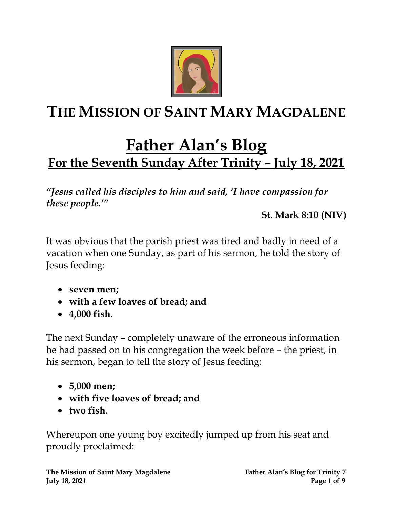

# **THE MISSION OF SAINT MARY MAGDALENE**

# **Father Alan's Blog For the Seventh Sunday After Trinity – July 18, 2021**

*"Jesus called his disciples to him and said, 'I have compassion for these people.'"* 

**St. Mark 8:10 (NIV)**

It was obvious that the parish priest was tired and badly in need of a vacation when one Sunday, as part of his sermon, he told the story of Jesus feeding:

- **seven men;**
- **with a few loaves of bread; and**
- **4,000 fish**.

The next Sunday – completely unaware of the erroneous information he had passed on to his congregation the week before – the priest, in his sermon, began to tell the story of Jesus feeding:

- **5,000 men;**
- **with five loaves of bread; and**
- **two fish**.

Whereupon one young boy excitedly jumped up from his seat and proudly proclaimed: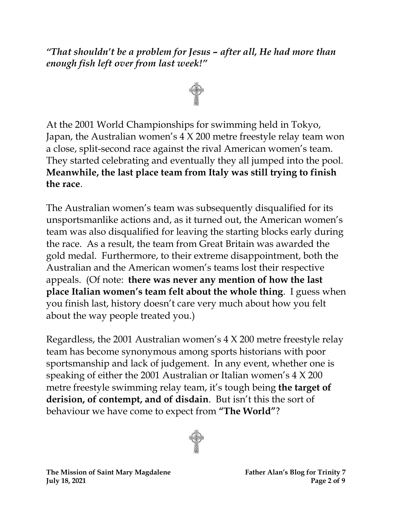### *"That shouldn't be a problem for Jesus – after all, He had more than enough fish left over from last week!"*



At the 2001 World Championships for swimming held in Tokyo, Japan, the Australian women's 4 X 200 metre freestyle relay team won a close, split-second race against the rival American women's team. They started celebrating and eventually they all jumped into the pool. **Meanwhile, the last place team from Italy was still trying to finish the race**.

The Australian women's team was subsequently disqualified for its unsportsmanlike actions and, as it turned out, the American women's team was also disqualified for leaving the starting blocks early during the race. As a result, the team from Great Britain was awarded the gold medal. Furthermore, to their extreme disappointment, both the Australian and the American women's teams lost their respective appeals. (Of note: **there was never any mention of how the last place Italian women's team felt about the whole thing**. I guess when you finish last, history doesn't care very much about how you felt about the way people treated you.)

Regardless, the 2001 Australian women's 4 X 200 metre freestyle relay team has become synonymous among sports historians with poor sportsmanship and lack of judgement. In any event, whether one is speaking of either the 2001 Australian or Italian women's 4 X 200 metre freestyle swimming relay team, it's tough being **the target of derision, of contempt, and of disdain**. But isn't this the sort of behaviour we have come to expect from **"The World"**?

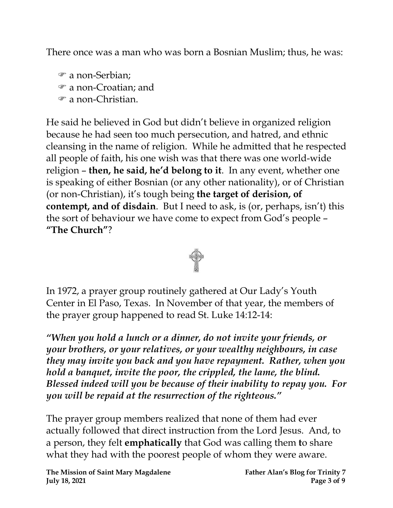There once was a man who was born a Bosnian Muslim; thus, he was:

 a non-Serbian; a non-Croatian; and

a non-Christian.

He said he believed in God but didn't believe in organized religion because he had seen too much persecution, and hatred, and ethnic cleansing in the name of religion. While he admitted that he respected all people of faith, his one wish was that there was one world-wide religion – **then, he said, he'd belong to it**. In any event, whether one is speaking of either Bosnian (or any other nationality), or of Christian (or non-Christian), it's tough being **the target of derision, of contempt, and of disdain**. But I need to ask, is (or, perhaps, isn't) this the sort of behaviour we have come to expect from God's people – **"The Church"**?



In 1972, a prayer group routinely gathered at Our Lady's Youth Center in El Paso, Texas. In November of that year, the members of the prayer group happened to read St. Luke 14:12-14:

*"When you hold a lunch or a dinner, do not invite your friends, or your brothers, or your relatives, or your wealthy neighbours, in case they may invite you back and you have repayment. Rather, when you hold a banquet, invite the poor, the crippled, the lame, the blind. Blessed indeed will you be because of their inability to repay you. For you will be repaid at the resurrection of the righteous."*

The prayer group members realized that none of them had ever actually followed that direct instruction from the Lord Jesus. And, to a person, they felt **emphatically** that God was calling them **t**o share what they had with the poorest people of whom they were aware.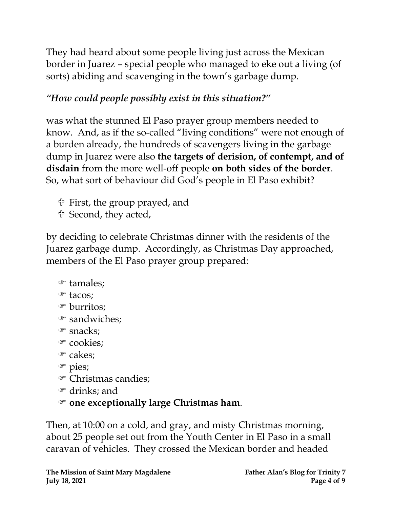They had heard about some people living just across the Mexican border in Juarez – special people who managed to eke out a living (of sorts) abiding and scavenging in the town's garbage dump.

## *"How could people possibly exist in this situation?"*

was what the stunned El Paso prayer group members needed to know. And, as if the so-called "living conditions" were not enough of a burden already, the hundreds of scavengers living in the garbage dump in Juarez were also **the targets of derision, of contempt, and of disdain** from the more well-off people **on both sides of the border**. So, what sort of behaviour did God's people in El Paso exhibit?

First, the group prayed, and

Second, they acted,

by deciding to celebrate Christmas dinner with the residents of the Juarez garbage dump. Accordingly, as Christmas Day approached, members of the El Paso prayer group prepared:

## tamales;

- tacos;
- burritos;
- sandwiches;
- snacks;
- <sup>o</sup> cookies:
- cakes;
- pies;
- Christmas candies;
- drinks; and

## **one exceptionally large Christmas ham**.

Then, at 10:00 on a cold, and gray, and misty Christmas morning, about 25 people set out from the Youth Center in El Paso in a small caravan of vehicles. They crossed the Mexican border and headed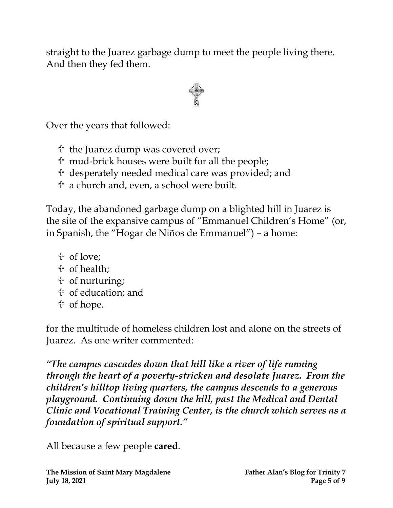straight to the Juarez garbage dump to meet the people living there. And then they fed them.



Over the years that followed:

- the Juarez dump was covered over;
- mud-brick houses were built for all the people;
- desperately needed medical care was provided; and
- a church and, even, a school were built.

Today, the abandoned garbage dump on a blighted hill in Juarez is the site of the expansive campus of "Emmanuel Children's Home" (or, in Spanish, the "Hogar de Niños de Emmanuel") – a home:

- of love;
- of health;
- of nurturing;
- of education; and
- of hope.

for the multitude of homeless children lost and alone on the streets of Juarez. As one writer commented:

*"The campus cascades down that hill like a river of life running through the heart of a poverty-stricken and desolate Juarez. From the children's hilltop living quarters, the campus descends to a generous playground. Continuing down the hill, past the Medical and Dental Clinic and Vocational Training Center, is the church which serves as a foundation of spiritual support."*

All because a few people **cared**.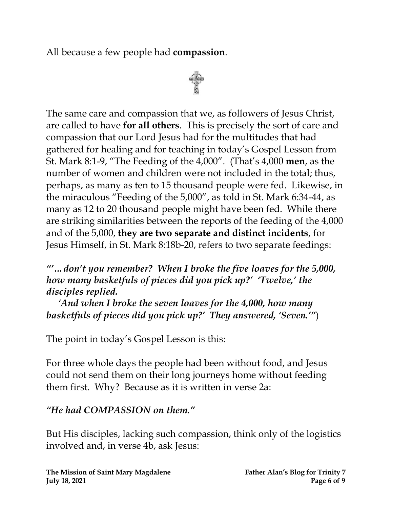All because a few people had **compassion**.



The same care and compassion that we, as followers of Jesus Christ, are called to have **for all others**. This is precisely the sort of care and compassion that our Lord Jesus had for the multitudes that had gathered for healing and for teaching in today's Gospel Lesson from St. Mark 8:1-9, "The Feeding of the 4,000". (That's 4,000 **men**, as the number of women and children were not included in the total; thus, perhaps, as many as ten to 15 thousand people were fed. Likewise, in the miraculous "Feeding of the 5,000", as told in St. Mark 6:34-44, as many as 12 to 20 thousand people might have been fed. While there are striking similarities between the reports of the feeding of the 4,000 and of the 5,000, **they are two separate and distinct incidents**, for Jesus Himself, in St. Mark 8:18b-20, refers to two separate feedings:

*"'…don't you remember? When I broke the five loaves for the 5,000, how many basketfuls of pieces did you pick up?' 'Twelve,' the disciples replied.* 

 *'And when I broke the seven loaves for the 4,000, how many basketfuls of pieces did you pick up?' They answered, 'Seven.'"*)

The point in today's Gospel Lesson is this:

For three whole days the people had been without food, and Jesus could not send them on their long journeys home without feeding them first. Why? Because as it is written in verse 2a:

## *"He had COMPASSION on them."*

But His disciples, lacking such compassion, think only of the logistics involved and, in verse 4b, ask Jesus: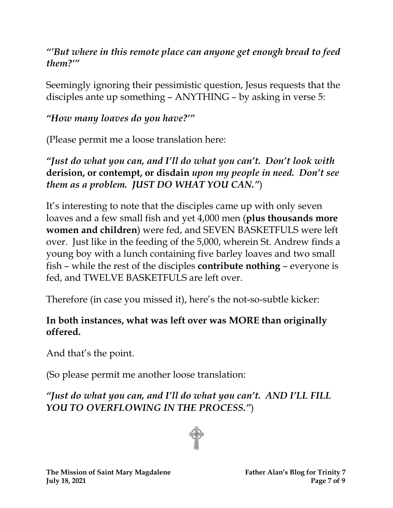### *"'But where in this remote place can anyone get enough bread to feed them?'"*

Seemingly ignoring their pessimistic question, Jesus requests that the disciples ante up something – ANYTHING – by asking in verse 5:

## *"How many loaves do you have?'"*

(Please permit me a loose translation here:

*"Just do what you can, and I'll do what you can't. Don't look with*  **derision, or contempt, or disdain** *upon my people in need. Don't see them as a problem. JUST DO WHAT YOU CAN."*)

It's interesting to note that the disciples came up with only seven loaves and a few small fish and yet 4,000 men (**plus thousands more women and children**) were fed, and SEVEN BASKETFULS were left over. Just like in the feeding of the 5,000, wherein St. Andrew finds a young boy with a lunch containing five barley loaves and two small fish – while the rest of the disciples **contribute nothing** – everyone is fed, and TWELVE BASKETFULS are left over.

Therefore (in case you missed it), here's the not-so-subtle kicker:

#### **In both instances, what was left over was MORE than originally offered.**

And that's the point.

(So please permit me another loose translation:

*"Just do what you can, and I'll do what you can't. AND I'LL FILL YOU TO OVERFLOWING IN THE PROCESS."*)

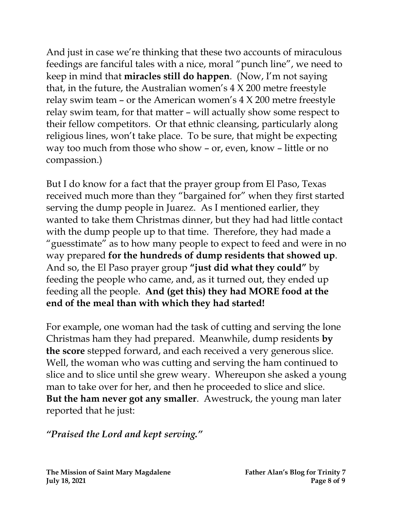And just in case we're thinking that these two accounts of miraculous feedings are fanciful tales with a nice, moral "punch line", we need to keep in mind that **miracles still do happen**. (Now, I'm not saying that, in the future, the Australian women's 4 X 200 metre freestyle relay swim team – or the American women's 4 X 200 metre freestyle relay swim team, for that matter – will actually show some respect to their fellow competitors. Or that ethnic cleansing, particularly along religious lines, won't take place. To be sure, that might be expecting way too much from those who show – or, even, know – little or no compassion.)

But I do know for a fact that the prayer group from El Paso, Texas received much more than they "bargained for" when they first started serving the dump people in Juarez. As I mentioned earlier, they wanted to take them Christmas dinner, but they had had little contact with the dump people up to that time. Therefore, they had made a "guesstimate" as to how many people to expect to feed and were in no way prepared **for the hundreds of dump residents that showed up**. And so, the El Paso prayer group **"just did what they could"** by feeding the people who came, and, as it turned out, they ended up feeding all the people. **And (get this) they had MORE food at the end of the meal than with which they had started!**

For example, one woman had the task of cutting and serving the lone Christmas ham they had prepared. Meanwhile, dump residents **by the score** stepped forward, and each received a very generous slice. Well, the woman who was cutting and serving the ham continued to slice and to slice until she grew weary. Whereupon she asked a young man to take over for her, and then he proceeded to slice and slice. **But the ham never got any smaller**. Awestruck, the young man later reported that he just:

#### *"Praised the Lord and kept serving."*